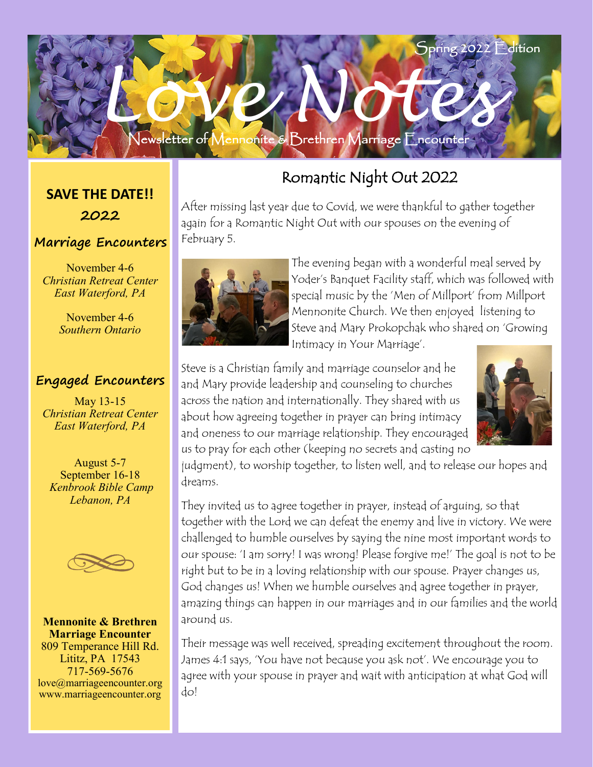

**SAVE THE DATE!! 2022**

#### **Marriage Encounters**

November 4-6 *Christian Retreat Center East Waterford, PA*

> November 4-6 *Southern Ontario*

#### **Engaged Encounters**

May 13-15 *Christian Retreat Center East Waterford, PA*

August 5-7 September 16-18 *Kenbrook Bible Camp Lebanon, PA*



**Mennonite & Brethren Marriage Encounter** 809 Temperance Hill Rd. Lititz, PA 17543 717-569-5676 love@marriageencounter.org www.marriageencounter.org

### Romantic Night Out 2022

After missing last year due to Covid, we were thankful to gather together again for a Romantic Night Out with our spouses on the evening of February 5.



The evening began with a wonderful meal served by Yoder's Banquet Facility staff, which was followed with special music by the 'Men of Millport' from Millport Mennonite Church. We then enjoyed listening to Steve and Mary Prokopchak who shared on 'Growing Intimacy in Your Marriage'.

Steve is a Christian family and marriage counselor and he and Mary provide leadership and counseling to churches across the nation and internationally. They shared with us about how agreeing together in prayer can bring intimacy and oneness to our marriage relationship. They encouraged us to pray for each other (keeping no secrets and casting no



judgment), to worship together, to listen well, and to release our hopes and dreams.

They invited us to agree together in prayer, instead of arguing, so that together with the Lord we can defeat the enemy and live in victory. We were challenged to humble ourselves by saying the nine most important words to our spouse: 'I am sorry! I was wrong! Please forgive me!' The goal is not to be right but to be in a loving relationship with our spouse. Prayer changes us, God changes us! When we humble ourselves and agree together in prayer, amazing things can happen in our marriages and in our families and the world around us.

Their message was well received, spreading excitement throughout the room. James 4:1 says, 'You have not because you ask not'. We encourage you to agree with your spouse in prayer and wait with anticipation at what God will do!